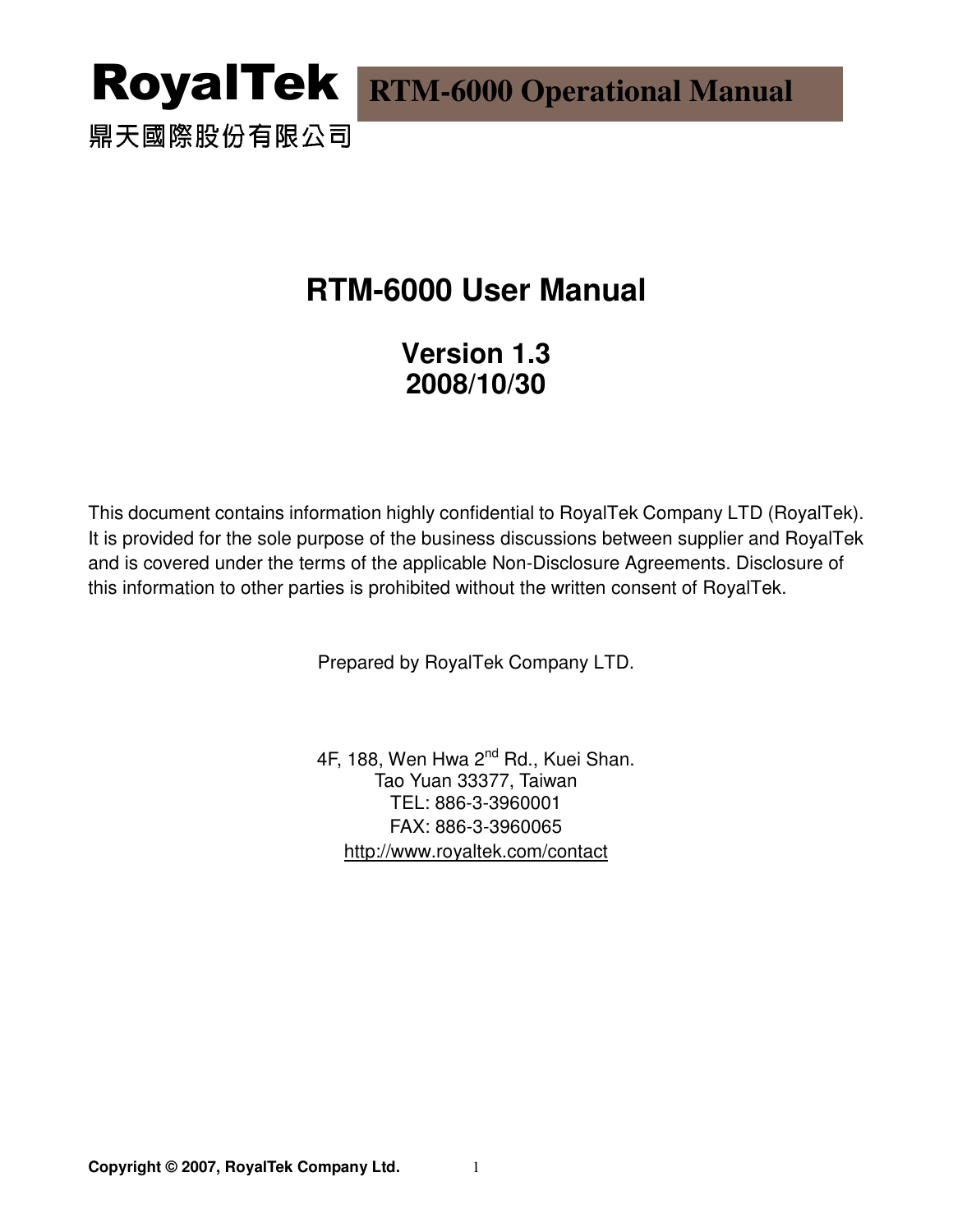鼎天國際股份有限公司

## **RTM-6000 User Manual**

**Version 1.3 2008/10/30** 

This document contains information highly confidential to RoyalTek Company LTD (RoyalTek). It is provided for the sole purpose of the business discussions between supplier and RoyalTek and is covered under the terms of the applicable Non-Disclosure Agreements. Disclosure of this information to other parties is prohibited without the written consent of RoyalTek.

Prepared by RoyalTek Company LTD.

4F, 188, Wen Hwa 2<sup>nd</sup> Rd., Kuei Shan. Tao Yuan 33377, Taiwan TEL: 886-3-3960001 FAX: 886-3-3960065 http://www.royaltek.com/contact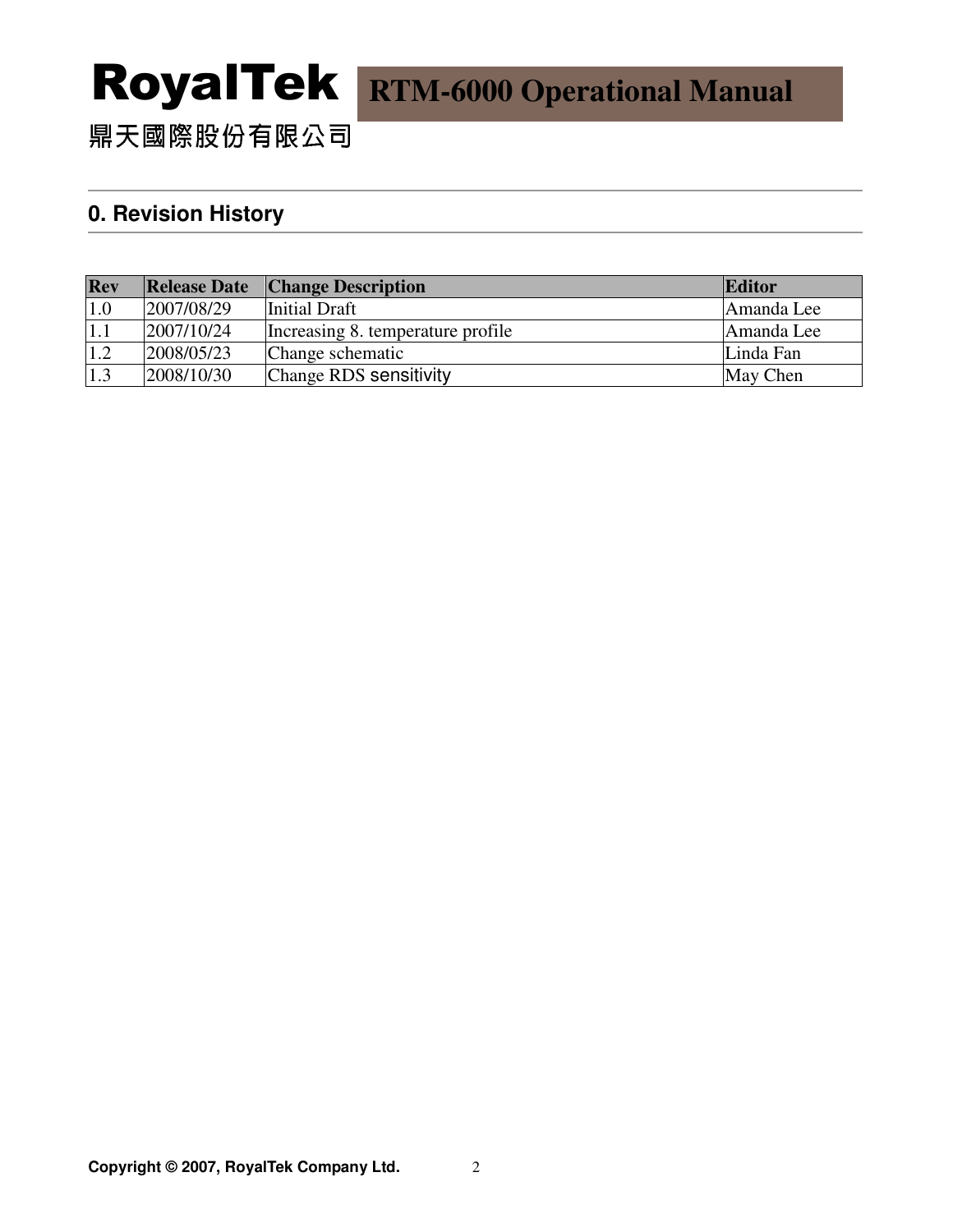鼎天國際股份有限公司

#### **0. Revision History**

| Rev | <b>Release Date</b> | <b>Change Description</b>         | Editor     |
|-----|---------------------|-----------------------------------|------------|
| 1.0 | 2007/08/29          | Initial Draft                     | Amanda Lee |
| 1.1 | 2007/10/24          | Increasing 8. temperature profile | Amanda Lee |
| 1.2 | 2008/05/23          | Change schematic                  | Linda Fan  |
| 1.3 | 2008/10/30          | Change RDS sensitivity            | May Chen   |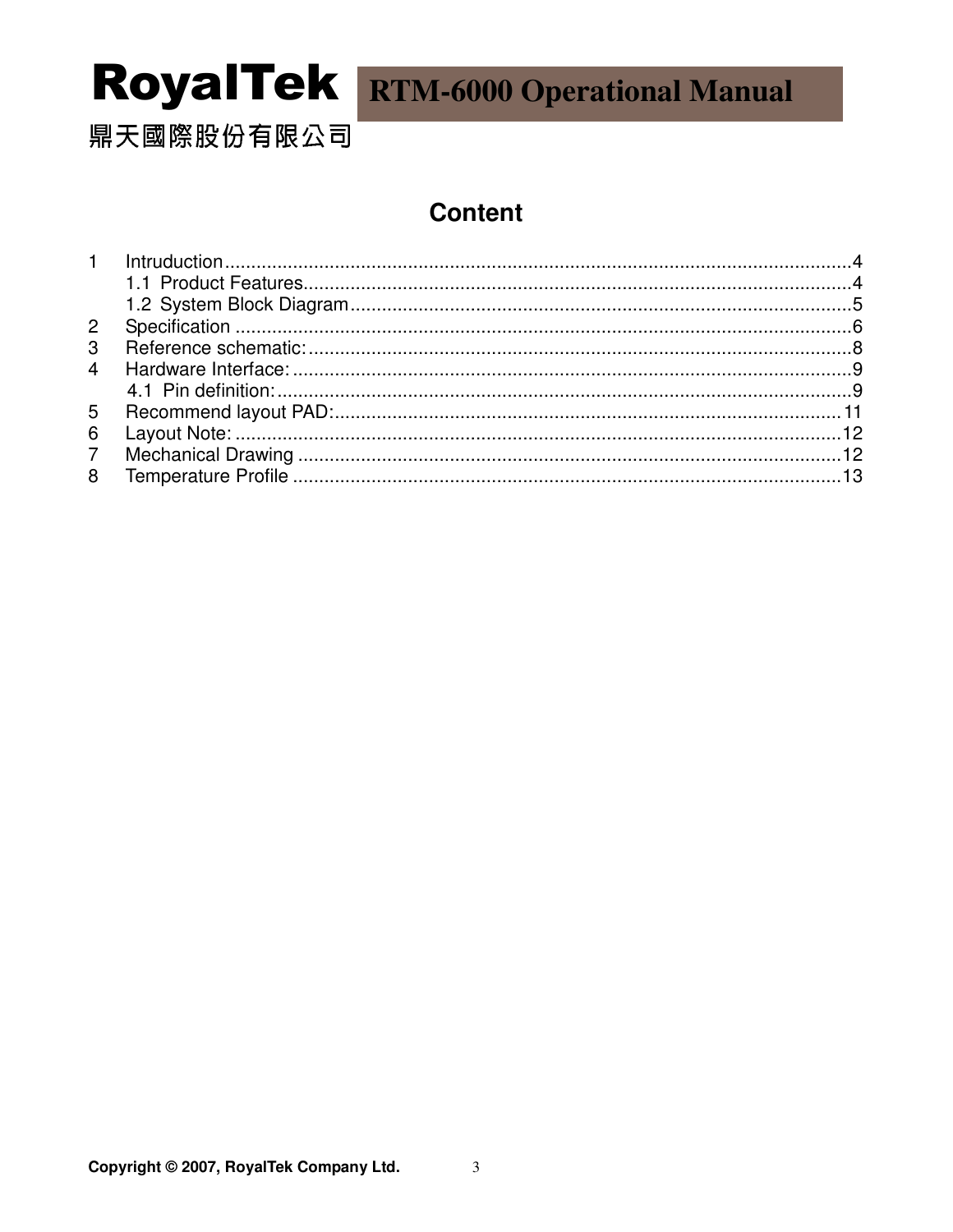鼎天國際股份有限公司

### **Content**

| 6 |  |
|---|--|
|   |  |
|   |  |
|   |  |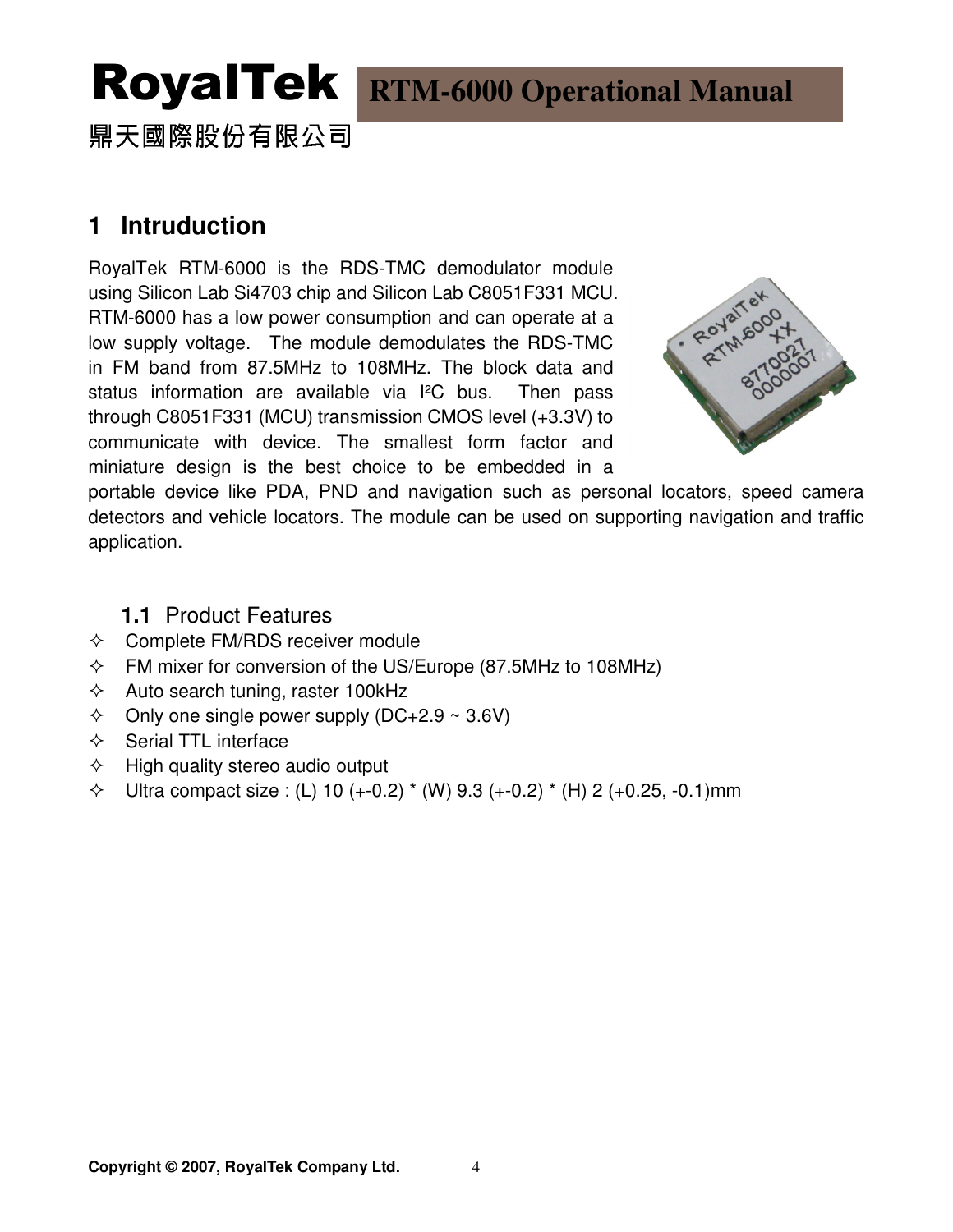鼎天國際股份有限公司

### **1 Intruduction**

RoyalTek RTM-6000 is the RDS-TMC demodulator module using Silicon Lab Si4703 chip and Silicon Lab C8051F331 MCU. RTM-6000 has a low power consumption and can operate at a low supply voltage. The module demodulates the RDS-TMC in FM band from 87.5MHz to 108MHz. The block data and status information are available via I²C bus. Then pass through C8051F331 (MCU) transmission CMOS level (+3.3V) to communicate with device. The smallest form factor and miniature design is the best choice to be embedded in a



portable device like PDA, PND and navigation such as personal locators, speed camera detectors and vehicle locators. The module can be used on supporting navigation and traffic application.

#### **1.1** Product Features

- $\Diamond$  Complete FM/RDS receiver module
- $\div$  FM mixer for conversion of the US/Europe (87.5MHz to 108MHz)
- $\Diamond$  Auto search tuning, raster 100kHz
- $\div$  Only one single power supply (DC+2.9 ~ 3.6V)
- $\Leftrightarrow$  Serial TTL interface
- $\Diamond$  High quality stereo audio output
- $\div$  Ultra compact size : (L) 10 (+-0.2)  $*$  (W) 9.3 (+-0.2)  $*$  (H) 2 (+0.25, -0.1)mm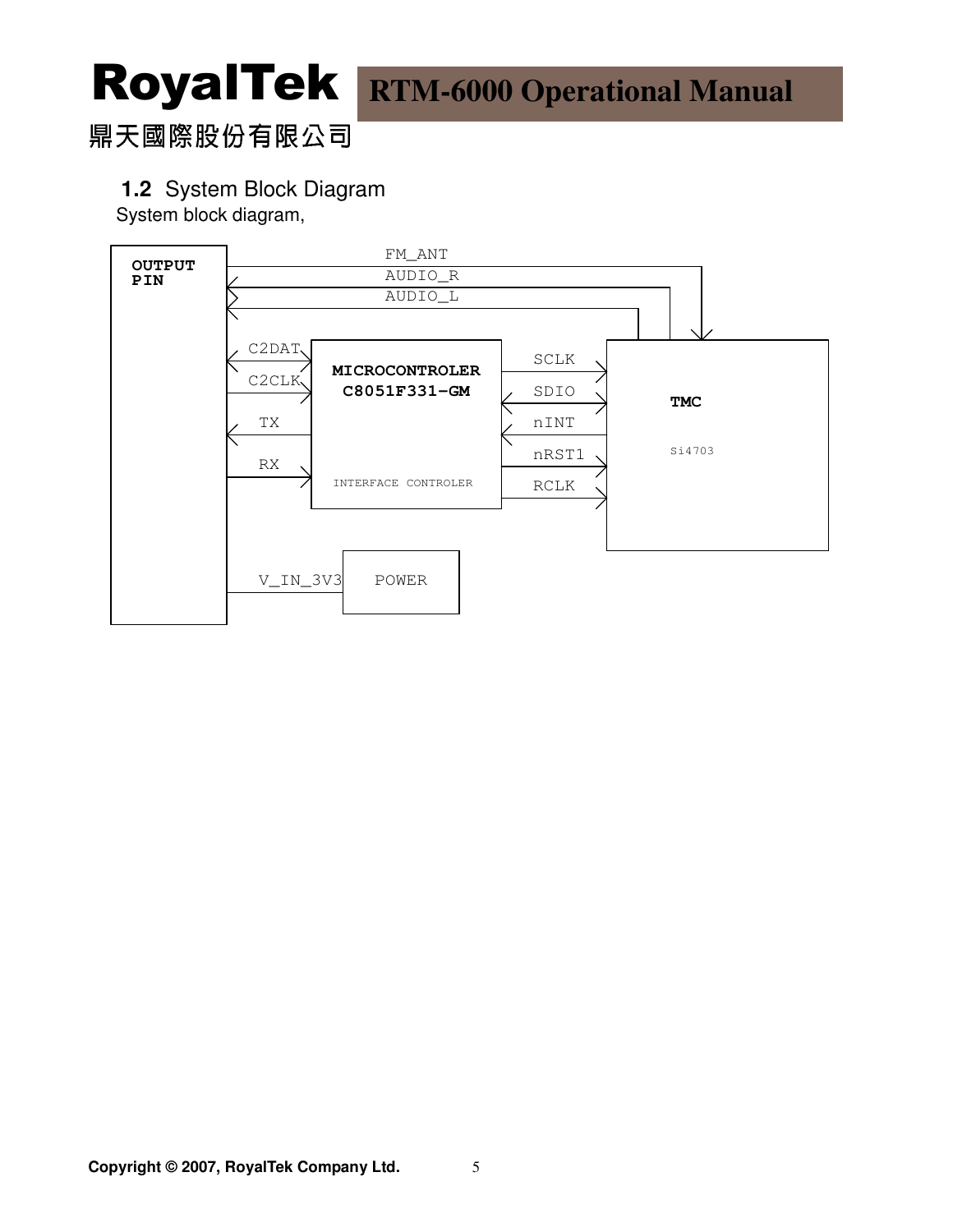### 鼎天國際股份有限公司

#### **1.2** System Block Diagram

System block diagram,

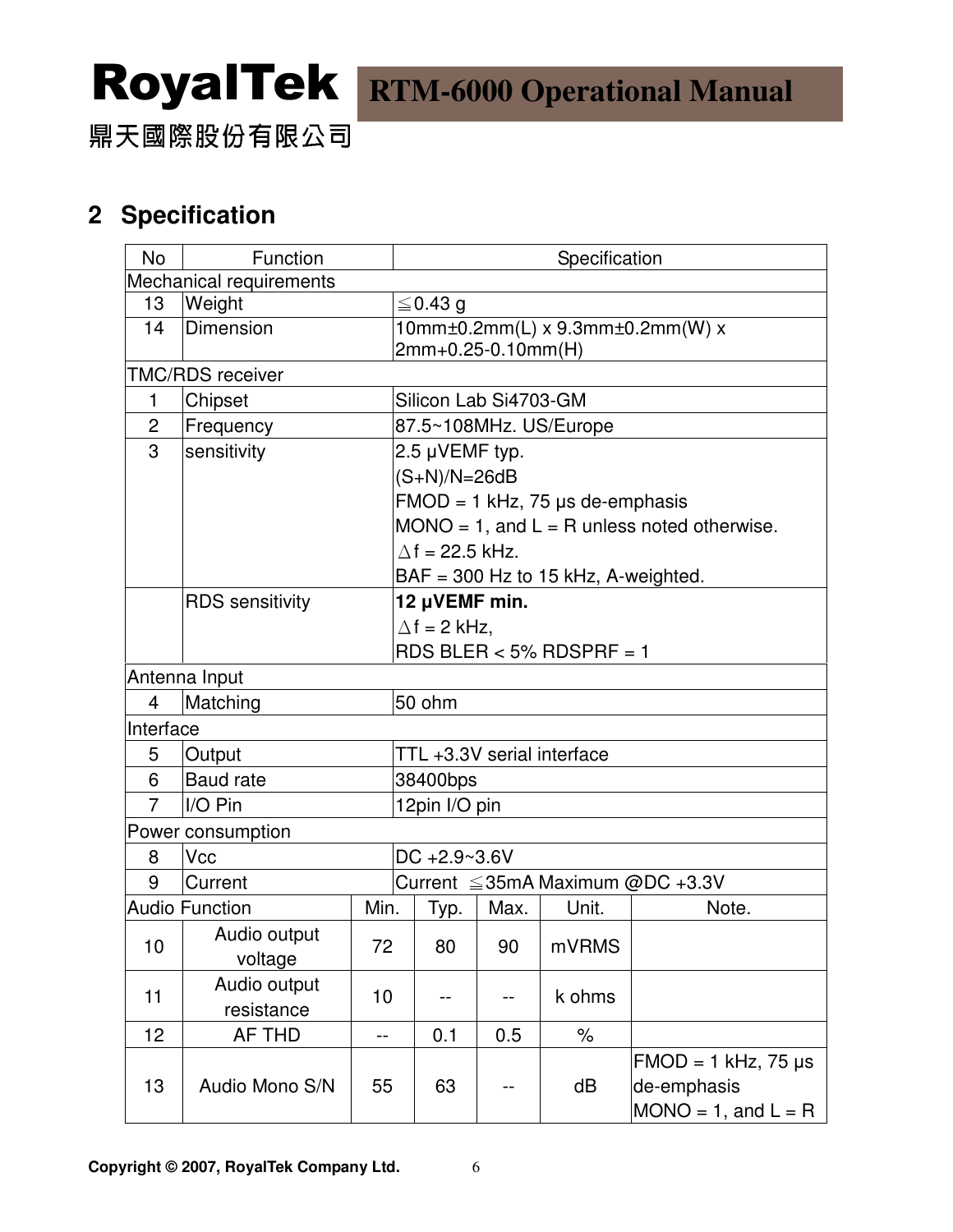鼎天國際股份有限公司

### **2 Specification**

| <b>No</b>      | Function                      | Specification |                                                        |                |      |                                    |                                                                     |  |
|----------------|-------------------------------|---------------|--------------------------------------------------------|----------------|------|------------------------------------|---------------------------------------------------------------------|--|
|                | Mechanical requirements       |               |                                                        |                |      |                                    |                                                                     |  |
| 13             | Weight                        |               | $\leq$ 0.43 g                                          |                |      |                                    |                                                                     |  |
| 14             | Dimension                     |               | 10mm±0.2mm(L) x 9.3mm±0.2mm(W) x<br>2mm+0.25-0.10mm(H) |                |      |                                    |                                                                     |  |
|                | TMC/RDS receiver              |               |                                                        |                |      |                                    |                                                                     |  |
| $\mathbf 1$    | Chipset                       |               | Silicon Lab Si4703-GM                                  |                |      |                                    |                                                                     |  |
| $\overline{c}$ | Frequency                     |               | 87.5~108MHz. US/Europe                                 |                |      |                                    |                                                                     |  |
| 3              | sensitivity                   |               |                                                        | 2.5 µVEMF typ. |      |                                    |                                                                     |  |
|                |                               |               |                                                        | $(S+N)/N=26dB$ |      |                                    |                                                                     |  |
|                |                               |               |                                                        |                |      | $FMOD = 1 kHz$ , 75 µs de-emphasis |                                                                     |  |
|                |                               |               | $MONO = 1$ , and $L = R$ unless noted otherwise.       |                |      |                                    |                                                                     |  |
|                |                               |               | $\Delta f = 22.5$ kHz.                                 |                |      |                                    |                                                                     |  |
|                |                               |               | $BAF = 300$ Hz to 15 kHz, A-weighted.                  |                |      |                                    |                                                                     |  |
|                | <b>RDS</b> sensitivity        |               |                                                        | 12 µVEMF min.  |      |                                    |                                                                     |  |
|                |                               |               | $\Delta f = 2$ kHz,                                    |                |      |                                    |                                                                     |  |
|                |                               |               | $RDS BLER < 5% RDSPRF = 1$                             |                |      |                                    |                                                                     |  |
|                | Antenna Input                 |               |                                                        |                |      |                                    |                                                                     |  |
| $\overline{4}$ | Matching                      |               | 50 ohm                                                 |                |      |                                    |                                                                     |  |
| Interface      |                               |               |                                                        |                |      |                                    |                                                                     |  |
| 5              | Output                        |               | TTL +3.3V serial interface                             |                |      |                                    |                                                                     |  |
| 6              | <b>Baud</b> rate              |               | 38400bps                                               |                |      |                                    |                                                                     |  |
| $\overline{7}$ | I/O Pin                       |               | 12pin I/O pin                                          |                |      |                                    |                                                                     |  |
|                | Power consumption             |               |                                                        |                |      |                                    |                                                                     |  |
| 8              | Vcc                           |               | $DC +2.9~3.6V$                                         |                |      |                                    |                                                                     |  |
| 9              | Current                       |               | Current $\leq$ 35mA Maximum @DC +3.3V                  |                |      |                                    |                                                                     |  |
|                | <b>Audio Function</b>         |               | Min.                                                   | Typ.           | Max. | Unit.                              | Note.                                                               |  |
| 10             | Audio output<br>72<br>voltage |               |                                                        | 80             | 90   | mVRMS                              |                                                                     |  |
| 11             | Audio output<br>resistance    | 10            |                                                        |                |      | k ohms                             |                                                                     |  |
| 12             | AF THD                        | --            |                                                        | 0.1            | 0.5  | $\%$                               |                                                                     |  |
| 13             | Audio Mono S/N                |               | 55                                                     | 63             |      | dB                                 | $FMOD = 1 kHz, 75 \mu s$<br>de-emphasis<br>$MONO = 1$ , and $L = R$ |  |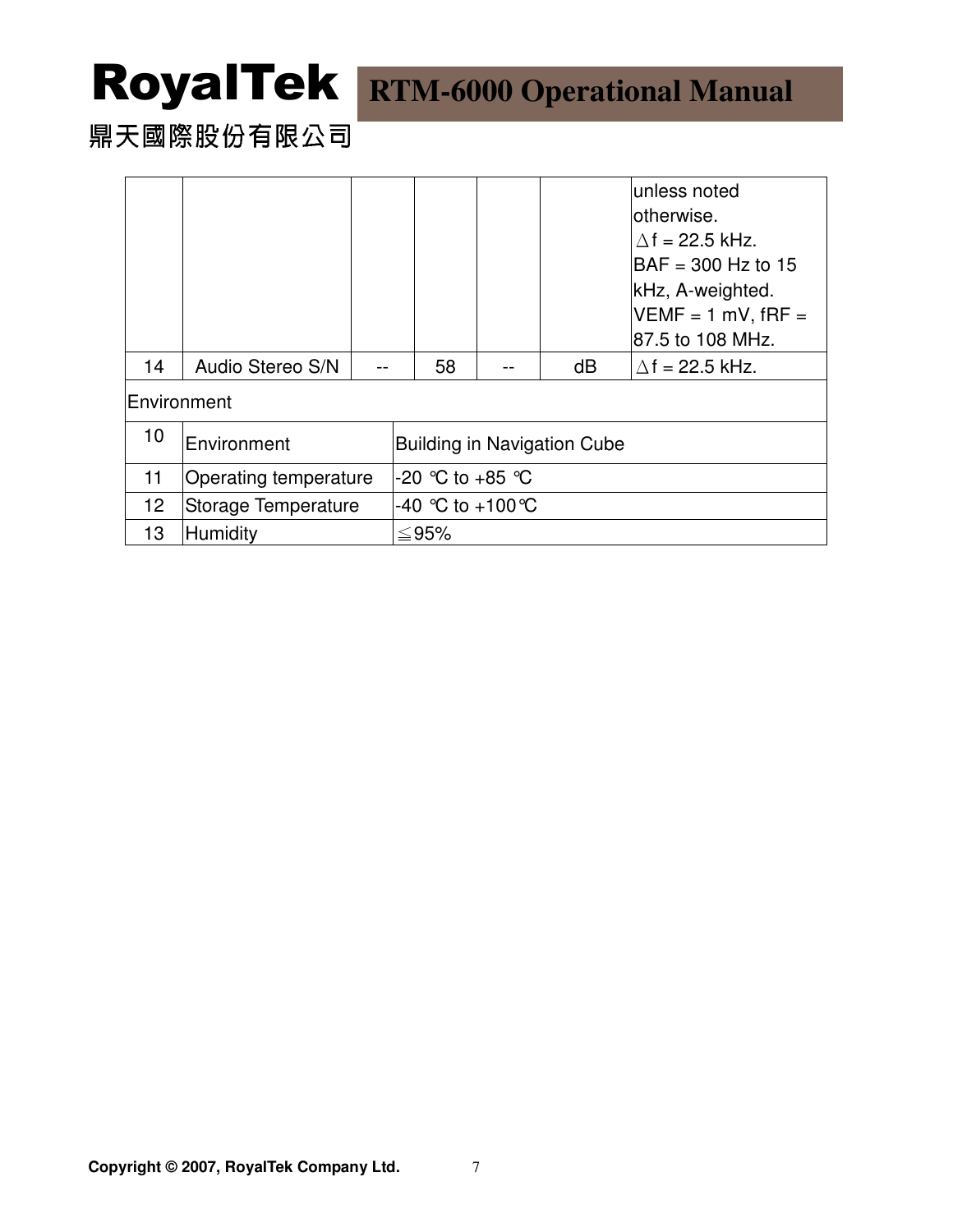## 鼎天國際股份有限公司

|                     |                       |  |  |                                    |  |    | unless noted                          |  |  |
|---------------------|-----------------------|--|--|------------------------------------|--|----|---------------------------------------|--|--|
|                     |                       |  |  |                                    |  |    | lotherwise.<br>$\Delta f = 22.5$ kHz. |  |  |
|                     |                       |  |  |                                    |  |    | $BAF = 300$ Hz to 15                  |  |  |
|                     |                       |  |  |                                    |  |    | kHz, A-weighted.                      |  |  |
|                     |                       |  |  |                                    |  |    | $VEMF = 1 mV$ , $fRF =$               |  |  |
|                     |                       |  |  |                                    |  |    | 87.5 to 108 MHz.                      |  |  |
| 14                  | Audio Stereo S/N      |  |  | 58                                 |  | dB | $\Delta f$ = 22.5 kHz.                |  |  |
| <b>IEnvironment</b> |                       |  |  |                                    |  |    |                                       |  |  |
| 10                  | Environment           |  |  | <b>Building in Navigation Cube</b> |  |    |                                       |  |  |
| 11                  | Operating temperature |  |  | -20 ℃ to +85 ℃                     |  |    |                                       |  |  |
| 12                  | Storage Temperature   |  |  | $-40$ °C to $+100$ °C              |  |    |                                       |  |  |
| 13                  | Humidity              |  |  | ≤95%                               |  |    |                                       |  |  |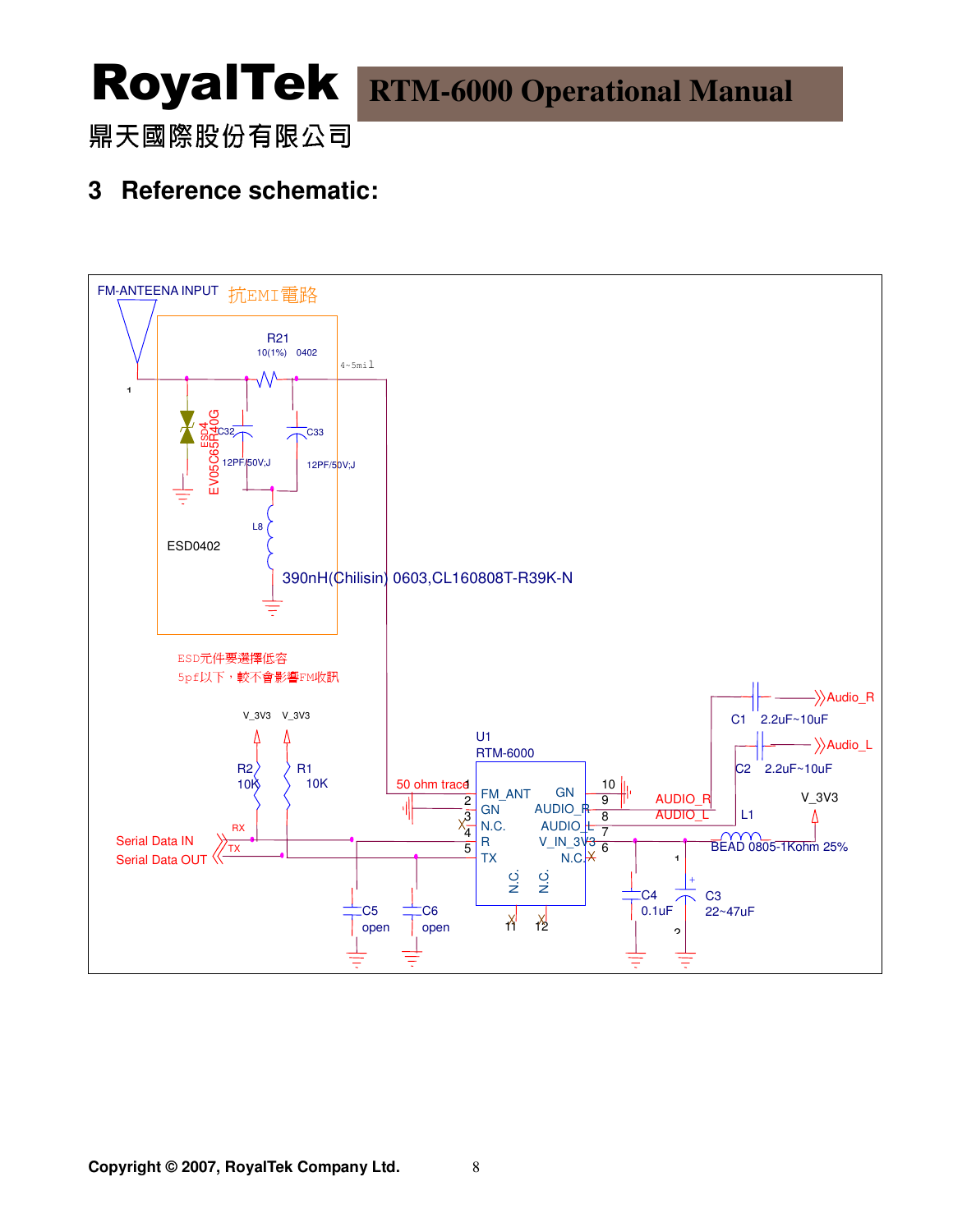### 鼎天國際股份有限公司

### **3 Reference schematic:**

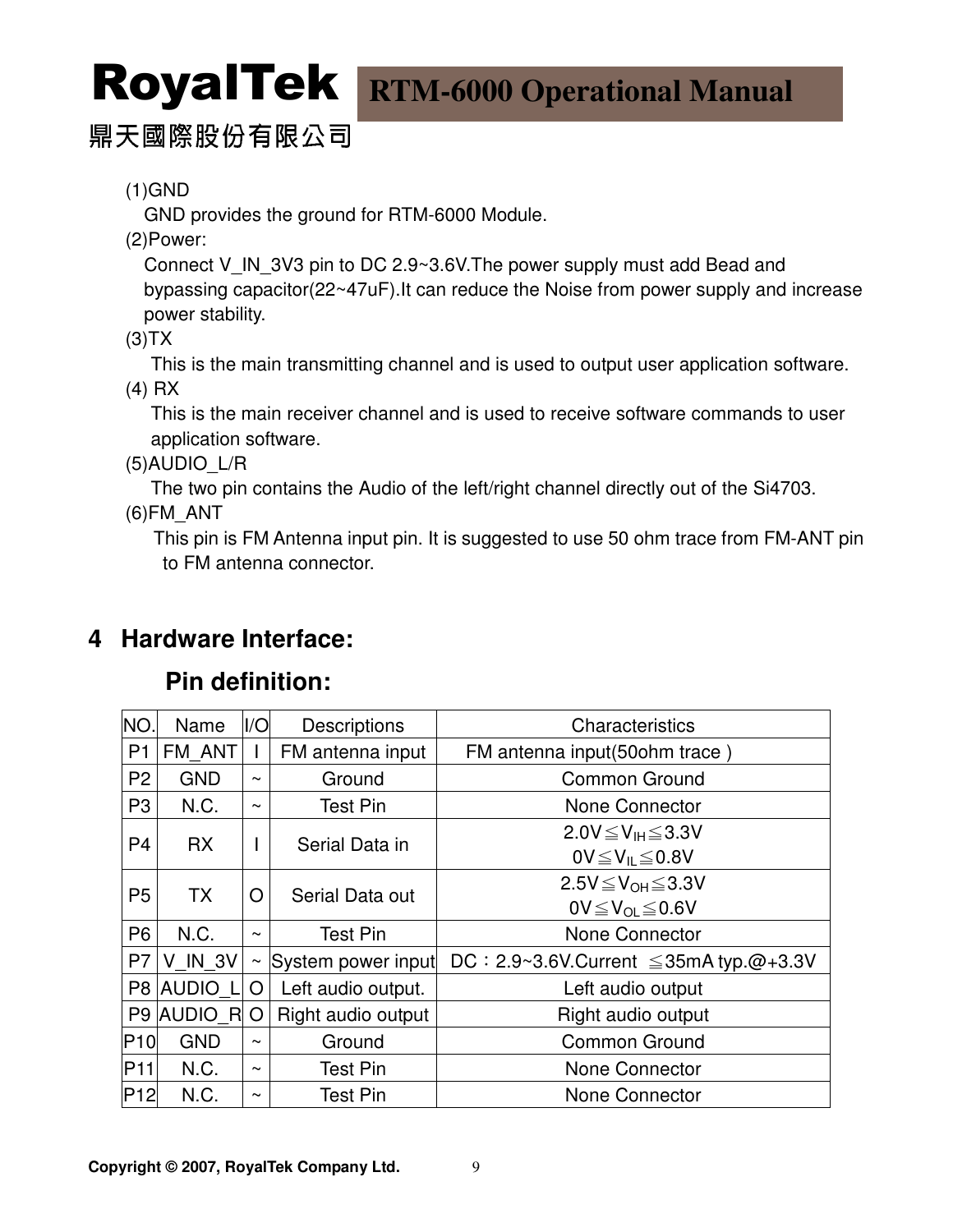### 鼎天國際股份有限公司

(1)GND

GND provides the ground for RTM-6000 Module.

(2)Power:

Connect V\_IN\_3V3 pin to DC 2.9~3.6V. The power supply must add Bead and bypassing capacitor(22~47uF).It can reduce the Noise from power supply and increase power stability.

 $(3)TX$ 

This is the main transmitting channel and is used to output user application software.

(4) RX

This is the main receiver channel and is used to receive software commands to user application software.

(5)AUDIO\_L/R

The two pin contains the Audio of the left/right channel directly out of the Si4703.

(6)FM\_ANT

 This pin is FM Antenna input pin. It is suggested to use 50 ohm trace from FM-ANT pin to FM antenna connector.

### **4 Hardware Interface:**

### **Pin definition:**

| NO.             | Name           | I/O                   | <b>Descriptions</b> | Characteristics                                |  |  |
|-----------------|----------------|-----------------------|---------------------|------------------------------------------------|--|--|
| P <sub>1</sub>  | FM ANT         |                       | FM antenna input    | FM antenna input(50ohm trace)                  |  |  |
| P <sub>2</sub>  | <b>GND</b>     | $\tilde{\phantom{a}}$ | Ground              | Common Ground                                  |  |  |
| P <sub>3</sub>  | N.C.           | $\tilde{\phantom{a}}$ | <b>Test Pin</b>     | None Connector                                 |  |  |
| P <sub>4</sub>  | <b>RX</b>      |                       | Serial Data in      | $2.0V \leq V_H \leq 3.3V$                      |  |  |
|                 |                |                       |                     | $0V \leq V_{IL} \leq 0.8V$                     |  |  |
| P <sub>5</sub>  | <b>TX</b>      | O                     | Serial Data out     | $2.5V \leq V_{OH} \leq 3.3V$                   |  |  |
|                 |                |                       |                     | $0V \leq V_{OL} \leq 0.6V$                     |  |  |
| P <sub>6</sub>  | N.C.           | $\tilde{\phantom{a}}$ | <b>Test Pin</b>     | None Connector                                 |  |  |
| P7              | <b>V IN 3V</b> | $\sim$                | System power input  | DC: $2.9~3.6$ V.Current $\leq$ 35mA typ.@+3.3V |  |  |
|                 | P8 AUDIO L     | O                     | Left audio output.  | Left audio output                              |  |  |
|                 | P9 AUDIO R     | O                     | Right audio output  | Right audio output                             |  |  |
| P <sub>10</sub> | <b>GND</b>     | $\tilde{}$            | Ground              | <b>Common Ground</b>                           |  |  |
| P <sub>11</sub> | N.C.           | $\tilde{}$            | <b>Test Pin</b>     | None Connector                                 |  |  |
| P <sub>12</sub> | N.C.           | $\tilde{\phantom{a}}$ | <b>Test Pin</b>     | None Connector                                 |  |  |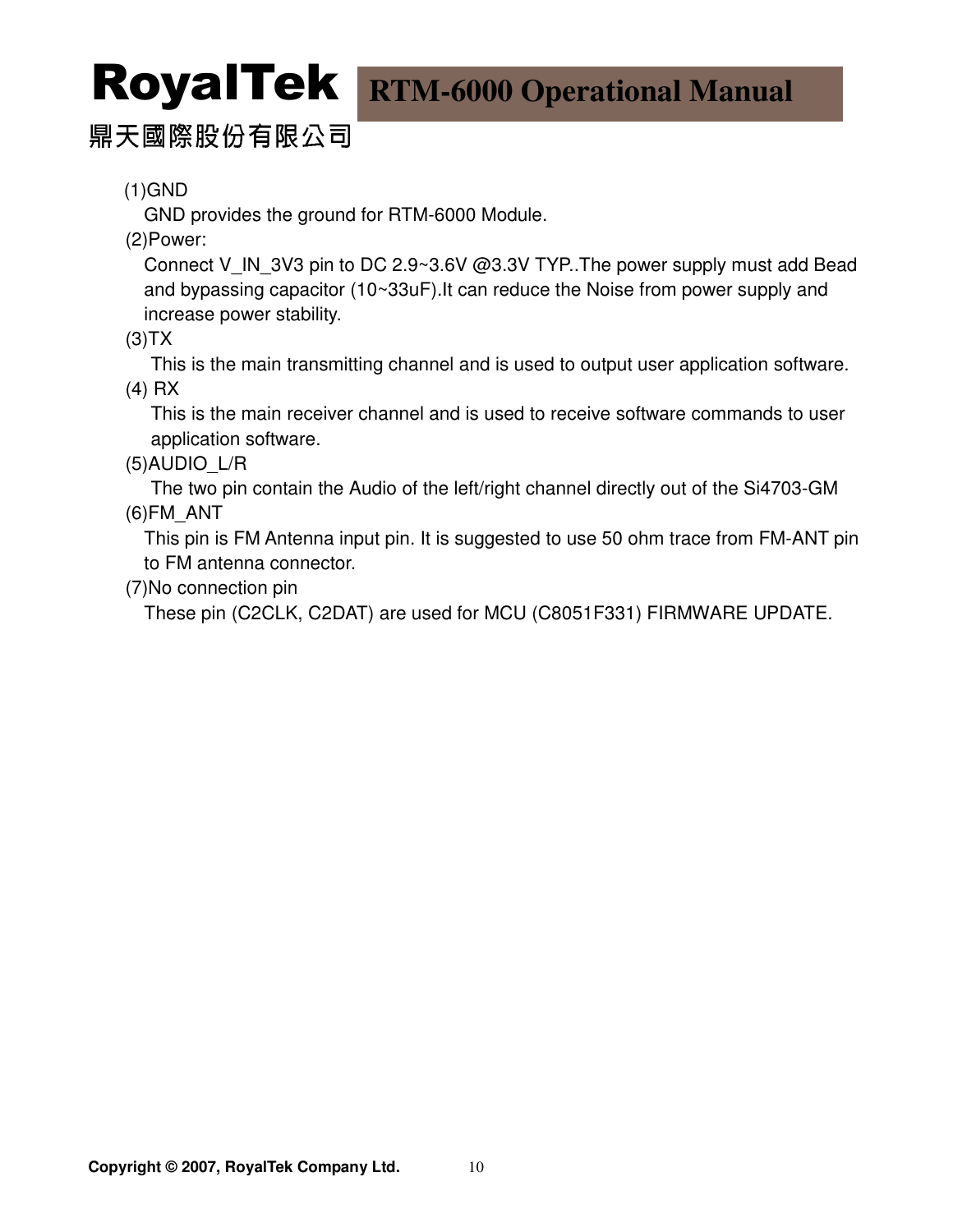### 鼎天國際股份有限公司

(1)GND

GND provides the ground for RTM-6000 Module.

(2)Power:

Connect V\_IN\_3V3 pin to DC 2.9~3.6V @3.3V TYP..The power supply must add Bead and bypassing capacitor (10~33uF).It can reduce the Noise from power supply and increase power stability.

 $(3)TX$ 

This is the main transmitting channel and is used to output user application software.

(4) RX

This is the main receiver channel and is used to receive software commands to user application software.

(5)AUDIO\_L/R

The two pin contain the Audio of the left/right channel directly out of the Si4703-GM (6)FM\_ANT

 This pin is FM Antenna input pin. It is suggested to use 50 ohm trace from FM-ANT pin to FM antenna connector.

(7)No connection pin

These pin (C2CLK, C2DAT) are used for MCU (C8051F331) FIRMWARE UPDATE.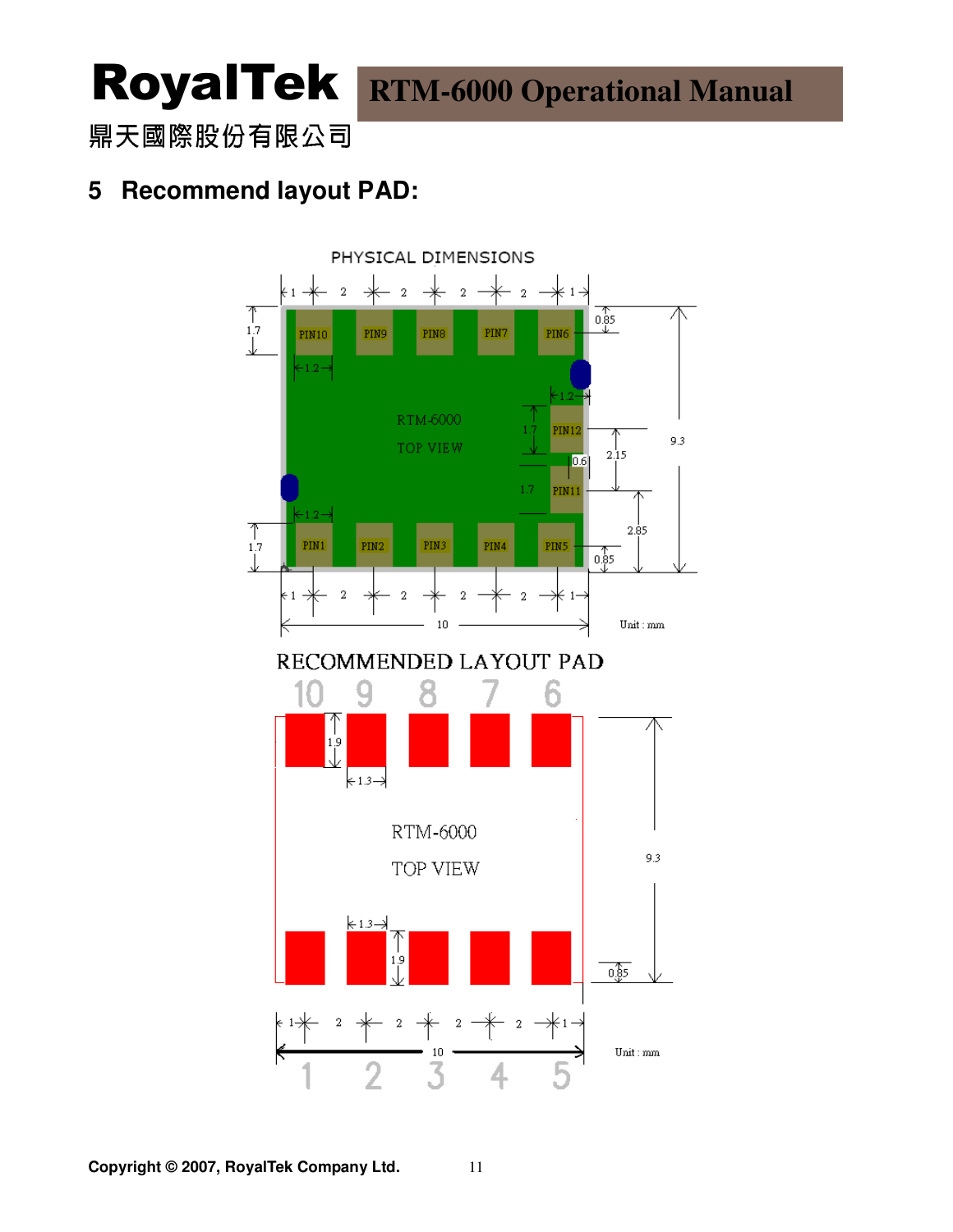鼎天國際股份有限公司

### **5 Recommend layout PAD:**

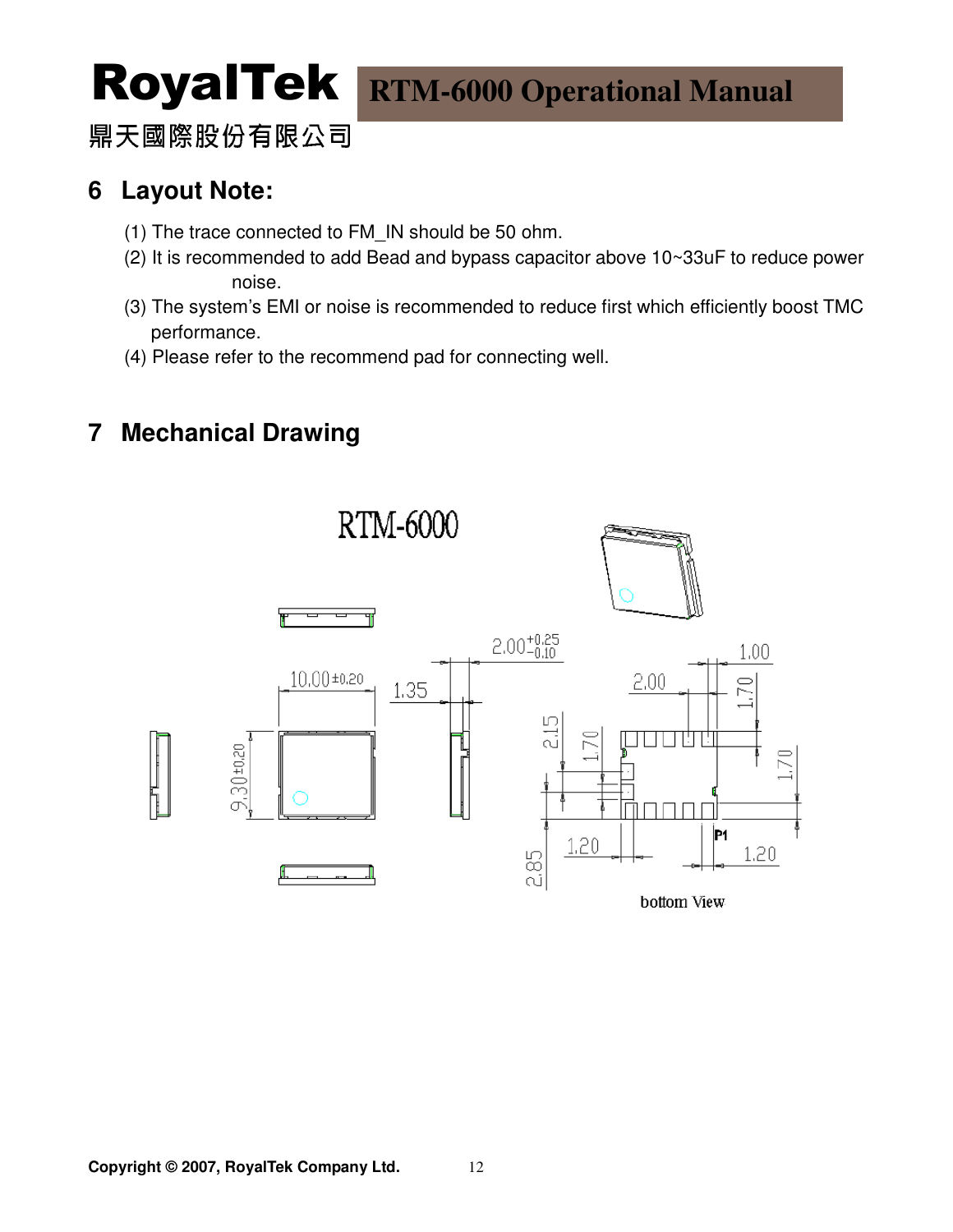鼎天國際股份有限公司

### **6 Layout Note:**

- (1) The trace connected to FM\_IN should be 50 ohm.
- (2) It is recommended to add Bead and bypass capacitor above 10~33uF to reduce power noise.
- (3) The system's EMI or noise is recommended to reduce first which efficiently boost TMC performance.
- (4) Please refer to the recommend pad for connecting well.

### **7 Mechanical Drawing**